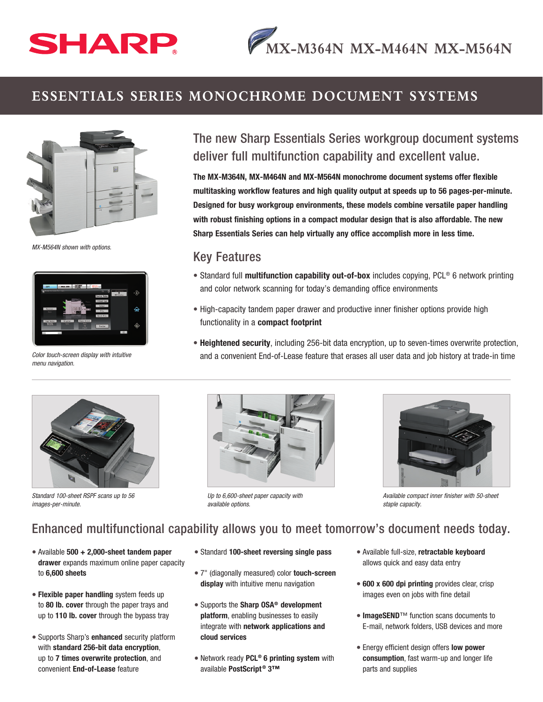# SHARP

## **ESSENTIALS SERIES MONOCHROME DOCUMENT SYSTEMS**



*MX-M564N shown with options.*



*Color touch-screen display with intuitive menu navigation.*

# The new Sharp Essentials Series workgroup document systems deliver full multifunction capability and excellent value.

The MX-M364N, MX-M464N and MX-M564N monochrome document systems offer flexible multitasking workflow features and high quality output at speeds up to 56 pages-per-minute. Designed for busy workgroup environments, these models combine versatile paper handling with robust finishing options in a compact modular design that is also affordable. The new Sharp Essentials Series can help virtually any office accomplish more in less time.

#### Key Features

- Standard full multifunction capability out-of-box includes copying, PCL® 6 network printing and color network scanning for today's demanding office environments
- High-capacity tandem paper drawer and productive inner finisher options provide high functionality in a compact footprint
- Heightened security, including 256-bit data encryption, up to seven-times overwrite protection, and a convenient End-of-Lease feature that erases all user data and job history at trade-in time



*Standard 100-sheet RSPF scans up to 56 images-per-minute.*



*Up to 6,600-sheet paper capacity with available options.*



*Available compact inner finisher with 50-sheet staple capacity.*

### Enhanced multifunctional capability allows you to meet tomorrow's document needs today.

- Available 500 + 2,000-sheet tandem paper drawer expands maximum online paper capacity to 6,600 sheets
- Flexible paper handling system feeds up to 80 lb. cover through the paper trays and up to 110 lb. cover through the bypass tray
- Supports Sharp's enhanced security platform with standard 256-bit data encryption, up to 7 times overwrite protection, and convenient End-of-Lease feature
- Standard 100-sheet reversing single pass
- 7" (diagonally measured) color touch-screen display with intuitive menu navigation
- Supports the Sharp OSA® development platform, enabling businesses to easily integrate with network applications and cloud services
- Network ready PCL<sup>®</sup> 6 printing system with available PostScript<sup>®</sup> 3™
- Available full-size, retractable keyboard allows quick and easy data entry
- 600 x 600 dpi printing provides clear, crisp images even on jobs with fine detail
- ImageSEND™ function scans documents to E-mail, network folders, USB devices and more
- Energy efficient design offers low power consumption, fast warm-up and longer life parts and supplies